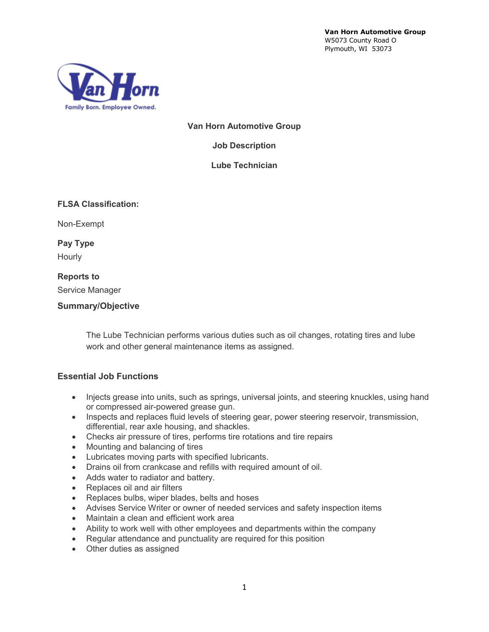**Van Horn Automotive Group** W5073 County Road O Plymouth, WI 53073



**Van Horn Automotive Group**

**Job Description**

**Lube Technician**

**FLSA Classification:**

Non-Exempt

**Pay Type** Hourly

#### **Reports to**

Service Manager

#### **Summary/Objective**

The Lube Technician performs various duties such as oil changes, rotating tires and lube work and other general maintenance items as assigned.

#### **Essential Job Functions**

- Injects grease into units, such as springs, universal joints, and steering knuckles, using hand or compressed air-powered grease gun.
- Inspects and replaces fluid levels of steering gear, power steering reservoir, transmission, differential, rear axle housing, and shackles.
- Checks air pressure of tires, performs tire rotations and tire repairs
- Mounting and balancing of tires
- Lubricates moving parts with specified lubricants.
- Drains oil from crankcase and refills with required amount of oil.
- Adds water to radiator and battery.
- Replaces oil and air filters
- Replaces bulbs, wiper blades, belts and hoses
- Advises Service Writer or owner of needed services and safety inspection items
- Maintain a clean and efficient work area
- Ability to work well with other employees and departments within the company
- Regular attendance and punctuality are required for this position
- Other duties as assigned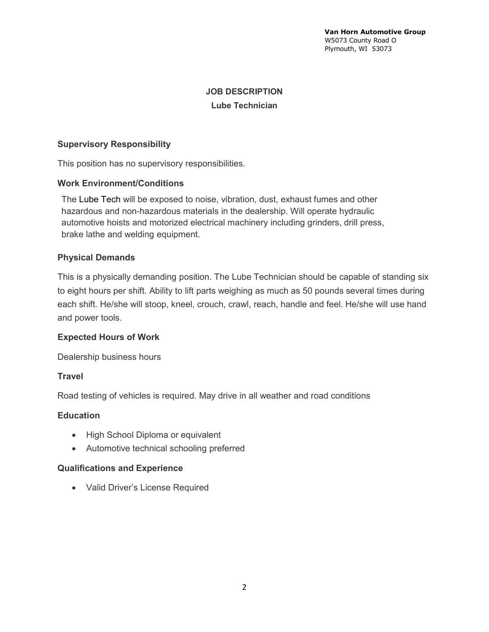## **JOB DESCRIPTION Lube Technician**

## **Supervisory Responsibility**

This position has no supervisory responsibilities.

### **Work Environment/Conditions**

The Lube Tech will be exposed to noise, vibration, dust, exhaust fumes and other hazardous and non-hazardous materials in the dealership. Will operate hydraulic automotive hoists and motorized electrical machinery including grinders, drill press, brake lathe and welding equipment.

### **Physical Demands**

This is a physically demanding position. The Lube Technician should be capable of standing six to eight hours per shift. Ability to lift parts weighing as much as 50 pounds several times during each shift. He/she will stoop, kneel, crouch, crawl, reach, handle and feel. He/she will use hand and power tools.

### **Expected Hours of Work**

Dealership business hours

### **Travel**

Road testing of vehicles is required. May drive in all weather and road conditions

### **Education**

- High School Diploma or equivalent
- Automotive technical schooling preferred

### **Qualifications and Experience**

• Valid Driver's License Required